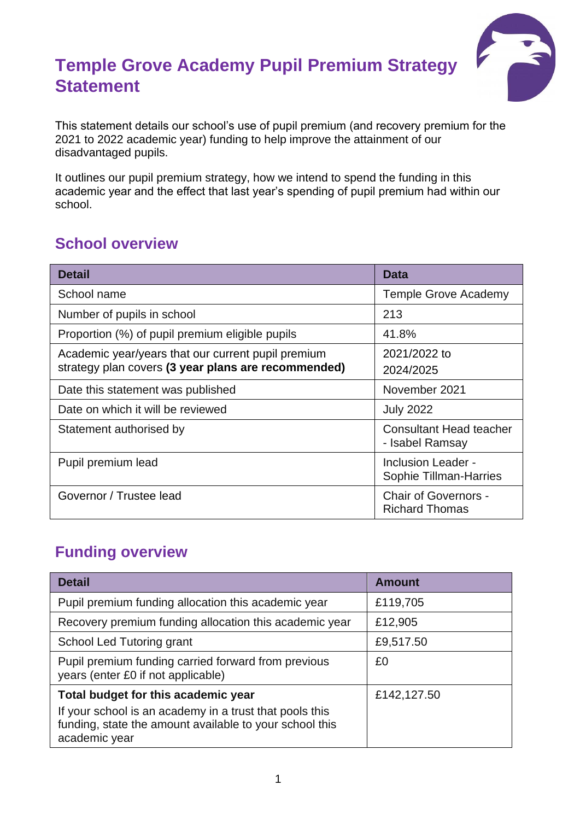# **Temple Grove Academy Pupil Premium Strategy Statement**



This statement details our school's use of pupil premium (and recovery premium for the 2021 to 2022 academic year) funding to help improve the attainment of our disadvantaged pupils.

It outlines our pupil premium strategy, how we intend to spend the funding in this academic year and the effect that last year's spending of pupil premium had within our school.

## **School overview**

| <b>Detail</b>                                                                                             | Data                                                 |
|-----------------------------------------------------------------------------------------------------------|------------------------------------------------------|
| School name                                                                                               | <b>Temple Grove Academy</b>                          |
| Number of pupils in school                                                                                | 213                                                  |
| Proportion (%) of pupil premium eligible pupils                                                           | 41.8%                                                |
| Academic year/years that our current pupil premium<br>strategy plan covers (3 year plans are recommended) | 2021/2022 to<br>2024/2025                            |
| Date this statement was published                                                                         | November 2021                                        |
| Date on which it will be reviewed                                                                         | <b>July 2022</b>                                     |
| Statement authorised by                                                                                   | <b>Consultant Head teacher</b><br>- Isabel Ramsay    |
| Pupil premium lead                                                                                        | <b>Inclusion Leader -</b><br>Sophie Tillman-Harries  |
| Governor / Trustee lead                                                                                   | <b>Chair of Governors -</b><br><b>Richard Thomas</b> |

#### **Funding overview**

| <b>Detail</b>                                                                                                                       | <b>Amount</b> |
|-------------------------------------------------------------------------------------------------------------------------------------|---------------|
| Pupil premium funding allocation this academic year                                                                                 | £119,705      |
| Recovery premium funding allocation this academic year                                                                              | £12,905       |
| School Led Tutoring grant                                                                                                           | £9,517.50     |
| Pupil premium funding carried forward from previous<br>years (enter £0 if not applicable)                                           | £0            |
| Total budget for this academic year                                                                                                 | £142,127.50   |
| If your school is an academy in a trust that pools this<br>funding, state the amount available to your school this<br>academic year |               |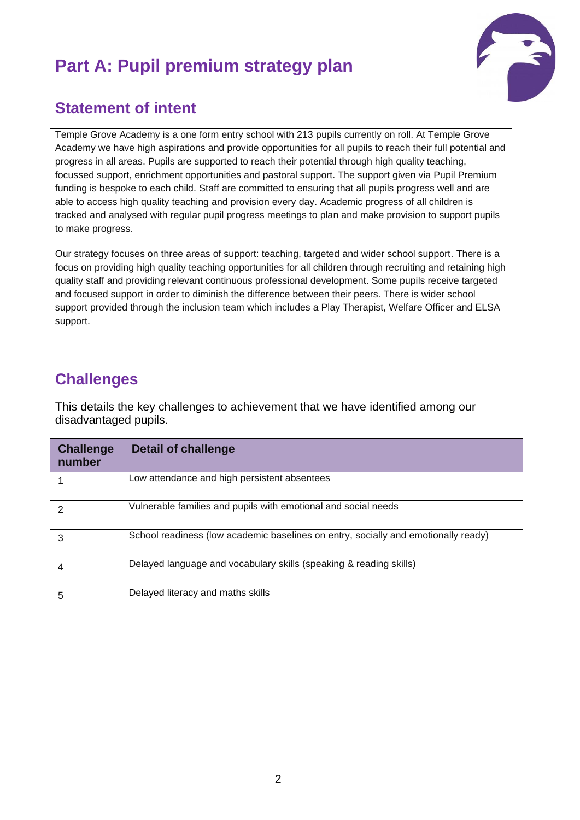# **Part A: Pupil premium strategy plan**



#### **Statement of intent**

Temple Grove Academy is a one form entry school with 213 pupils currently on roll. At Temple Grove Academy we have high aspirations and provide opportunities for all pupils to reach their full potential and progress in all areas. Pupils are supported to reach their potential through high quality teaching, focussed support, enrichment opportunities and pastoral support. The support given via Pupil Premium funding is bespoke to each child. Staff are committed to ensuring that all pupils progress well and are able to access high quality teaching and provision every day. Academic progress of all children is tracked and analysed with regular pupil progress meetings to plan and make provision to support pupils to make progress.

Our strategy focuses on three areas of support: teaching, targeted and wider school support. There is a focus on providing high quality teaching opportunities for all children through recruiting and retaining high quality staff and providing relevant continuous professional development. Some pupils receive targeted and focused support in order to diminish the difference between their peers. There is wider school support provided through the inclusion team which includes a Play Therapist, Welfare Officer and ELSA support.

### **Challenges**

This details the key challenges to achievement that we have identified among our disadvantaged pupils.

| <b>Challenge</b><br>number | <b>Detail of challenge</b>                                                         |
|----------------------------|------------------------------------------------------------------------------------|
|                            | Low attendance and high persistent absentees                                       |
| $\overline{2}$             | Vulnerable families and pupils with emotional and social needs                     |
| 3                          | School readiness (low academic baselines on entry, socially and emotionally ready) |
| 4                          | Delayed language and vocabulary skills (speaking & reading skills)                 |
| 5                          | Delayed literacy and maths skills                                                  |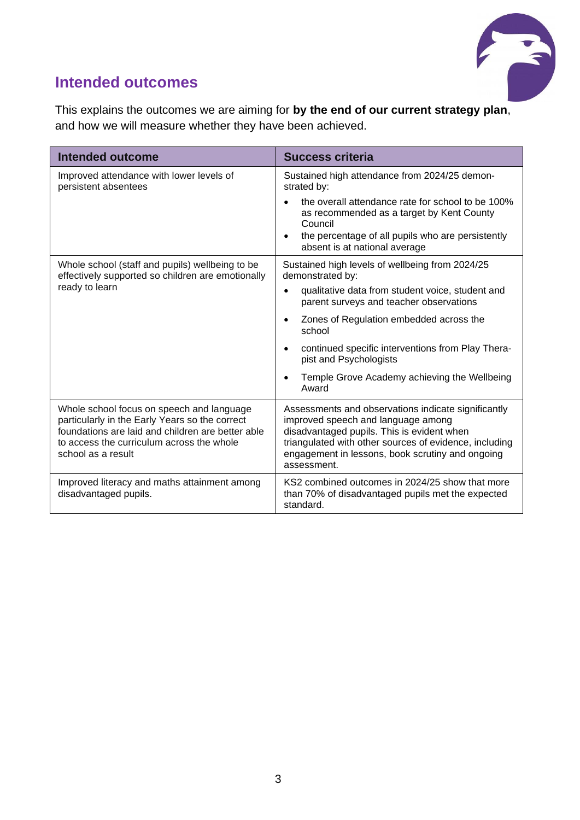

## **Intended outcomes**

This explains the outcomes we are aiming for **by the end of our current strategy plan**, and how we will measure whether they have been achieved.

| <b>Intended outcome</b>                                                                                                                                                                                             | <b>Success criteria</b>                                                                                                                                                                                                                                              |  |  |
|---------------------------------------------------------------------------------------------------------------------------------------------------------------------------------------------------------------------|----------------------------------------------------------------------------------------------------------------------------------------------------------------------------------------------------------------------------------------------------------------------|--|--|
| Improved attendance with lower levels of<br>persistent absentees                                                                                                                                                    | Sustained high attendance from 2024/25 demon-<br>strated by:                                                                                                                                                                                                         |  |  |
|                                                                                                                                                                                                                     | the overall attendance rate for school to be 100%<br>as recommended as a target by Kent County<br>Council                                                                                                                                                            |  |  |
|                                                                                                                                                                                                                     | the percentage of all pupils who are persistently<br>absent is at national average                                                                                                                                                                                   |  |  |
| Whole school (staff and pupils) wellbeing to be<br>effectively supported so children are emotionally                                                                                                                | Sustained high levels of wellbeing from 2024/25<br>demonstrated by:                                                                                                                                                                                                  |  |  |
| ready to learn                                                                                                                                                                                                      | qualitative data from student voice, student and<br>$\bullet$<br>parent surveys and teacher observations                                                                                                                                                             |  |  |
|                                                                                                                                                                                                                     | Zones of Regulation embedded across the<br>$\bullet$<br>school                                                                                                                                                                                                       |  |  |
|                                                                                                                                                                                                                     | continued specific interventions from Play Thera-<br>$\bullet$<br>pist and Psychologists                                                                                                                                                                             |  |  |
|                                                                                                                                                                                                                     | Temple Grove Academy achieving the Wellbeing<br>Award                                                                                                                                                                                                                |  |  |
| Whole school focus on speech and language<br>particularly in the Early Years so the correct<br>foundations are laid and children are better able<br>to access the curriculum across the whole<br>school as a result | Assessments and observations indicate significantly<br>improved speech and language among<br>disadvantaged pupils. This is evident when<br>triangulated with other sources of evidence, including<br>engagement in lessons, book scrutiny and ongoing<br>assessment. |  |  |
| Improved literacy and maths attainment among<br>disadvantaged pupils.                                                                                                                                               | KS2 combined outcomes in 2024/25 show that more<br>than 70% of disadvantaged pupils met the expected<br>standard.                                                                                                                                                    |  |  |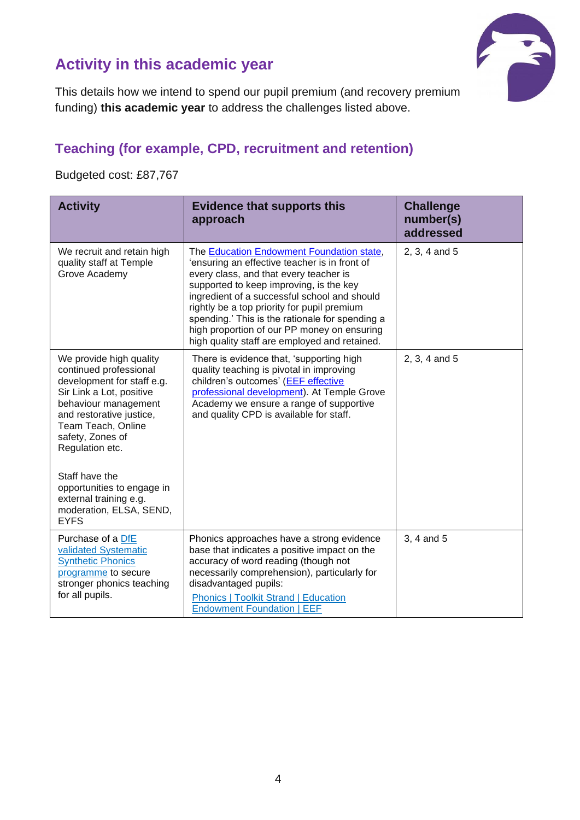

## **Activity in this academic year**

This details how we intend to spend our pupil premium (and recovery premium funding) **this academic year** to address the challenges listed above.

#### **Teaching (for example, CPD, recruitment and retention)**

Budgeted cost: £87,767

| <b>Activity</b>                                                                                                                                                                                                                                                              | <b>Evidence that supports this</b><br>approach                                                                                                                                                                                                                                                                                                                                                                                    | <b>Challenge</b><br>number(s)<br>addressed |
|------------------------------------------------------------------------------------------------------------------------------------------------------------------------------------------------------------------------------------------------------------------------------|-----------------------------------------------------------------------------------------------------------------------------------------------------------------------------------------------------------------------------------------------------------------------------------------------------------------------------------------------------------------------------------------------------------------------------------|--------------------------------------------|
| We recruit and retain high<br>quality staff at Temple<br>Grove Academy                                                                                                                                                                                                       | The Education Endowment Foundation state,<br>'ensuring an effective teacher is in front of<br>every class, and that every teacher is<br>supported to keep improving, is the key<br>ingredient of a successful school and should<br>rightly be a top priority for pupil premium<br>spending.' This is the rationale for spending a<br>high proportion of our PP money on ensuring<br>high quality staff are employed and retained. | 2, 3, 4 and 5                              |
| We provide high quality<br>continued professional<br>development for staff e.g.<br>Sir Link a Lot, positive<br>behaviour management<br>and restorative justice,<br>Team Teach, Online<br>safety, Zones of<br>Regulation etc.<br>Staff have the<br>opportunities to engage in | There is evidence that, 'supporting high<br>quality teaching is pivotal in improving<br>children's outcomes' (EEF effective<br>professional development). At Temple Grove<br>Academy we ensure a range of supportive<br>and quality CPD is available for staff.                                                                                                                                                                   | 2, 3, 4 and 5                              |
| external training e.g.<br>moderation, ELSA, SEND,<br><b>EYFS</b>                                                                                                                                                                                                             |                                                                                                                                                                                                                                                                                                                                                                                                                                   |                                            |
| Purchase of a DfE<br>validated Systematic<br><b>Synthetic Phonics</b><br>programme to secure<br>stronger phonics teaching<br>for all pupils.                                                                                                                                 | Phonics approaches have a strong evidence<br>base that indicates a positive impact on the<br>accuracy of word reading (though not<br>necessarily comprehension), particularly for<br>disadvantaged pupils:<br><b>Phonics   Toolkit Strand   Education</b><br><b>Endowment Foundation   EEF</b>                                                                                                                                    | 3, 4 and 5                                 |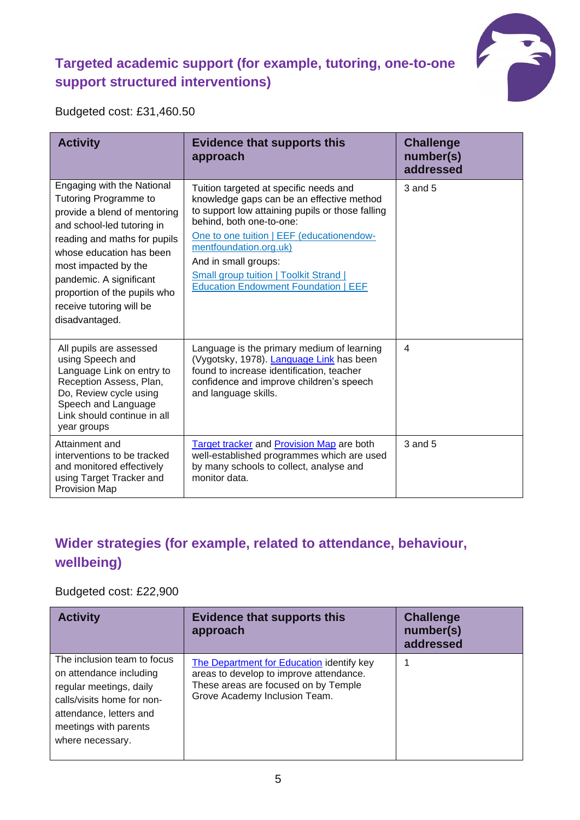#### **Targeted academic support (for example, tutoring, one-to-one support structured interventions)**



Budgeted cost: £31,460.50

| <b>Activity</b>                                                                                                                                                                                                                                                                                                | <b>Evidence that supports this</b><br>approach                                                                                                                                                                                                                                                                                                                     | <b>Challenge</b><br>number(s)<br>addressed |
|----------------------------------------------------------------------------------------------------------------------------------------------------------------------------------------------------------------------------------------------------------------------------------------------------------------|--------------------------------------------------------------------------------------------------------------------------------------------------------------------------------------------------------------------------------------------------------------------------------------------------------------------------------------------------------------------|--------------------------------------------|
| Engaging with the National<br>Tutoring Programme to<br>provide a blend of mentoring<br>and school-led tutoring in<br>reading and maths for pupils<br>whose education has been<br>most impacted by the<br>pandemic. A significant<br>proportion of the pupils who<br>receive tutoring will be<br>disadvantaged. | Tuition targeted at specific needs and<br>knowledge gaps can be an effective method<br>to support low attaining pupils or those falling<br>behind, both one-to-one:<br>One to one tuition   EEF (educationendow-<br>mentfoundation.org.uk)<br>And in small groups:<br><b>Small group tuition   Toolkit Strand  </b><br><b>Education Endowment Foundation   EEF</b> | 3 and 5                                    |
| All pupils are assessed<br>using Speech and<br>Language Link on entry to<br>Reception Assess, Plan,<br>Do, Review cycle using<br>Speech and Language<br>Link should continue in all<br>year groups                                                                                                             | Language is the primary medium of learning<br>(Vygotsky, 1978). Language Link has been<br>found to increase identification, teacher<br>confidence and improve children's speech<br>and language skills.                                                                                                                                                            | $\overline{4}$                             |
| Attainment and<br>interventions to be tracked<br>and monitored effectively<br>using Target Tracker and<br>Provision Map                                                                                                                                                                                        | Target tracker and Provision Map are both<br>well-established programmes which are used<br>by many schools to collect, analyse and<br>monitor data.                                                                                                                                                                                                                | 3 and 5                                    |

#### **Wider strategies (for example, related to attendance, behaviour, wellbeing)**

#### Budgeted cost: £22,900

| <b>Activity</b>                                                                                                                                                                         | <b>Evidence that supports this</b><br>approach                                                                                                                | <b>Challenge</b><br>number(s)<br>addressed |
|-----------------------------------------------------------------------------------------------------------------------------------------------------------------------------------------|---------------------------------------------------------------------------------------------------------------------------------------------------------------|--------------------------------------------|
| The inclusion team to focus<br>on attendance including<br>regular meetings, daily<br>calls/visits home for non-<br>attendance, letters and<br>meetings with parents<br>where necessary. | The Department for Education identify key<br>areas to develop to improve attendance.<br>These areas are focused on by Temple<br>Grove Academy Inclusion Team. |                                            |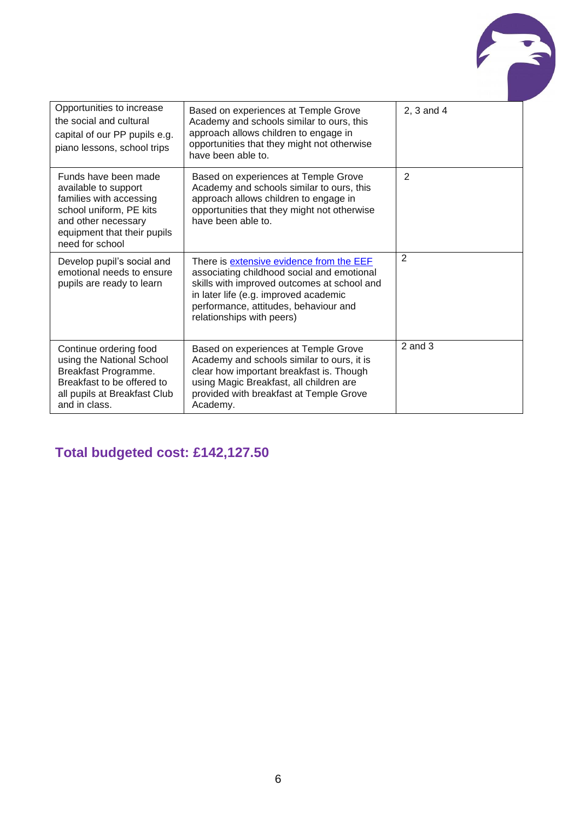

| Opportunities to increase<br>the social and cultural<br>capital of our PP pupils e.g.<br>piano lessons, school trips                                                        | Based on experiences at Temple Grove<br>Academy and schools similar to ours, this<br>approach allows children to engage in<br>opportunities that they might not otherwise<br>have been able to.                                                      | 2, 3 and 4  |
|-----------------------------------------------------------------------------------------------------------------------------------------------------------------------------|------------------------------------------------------------------------------------------------------------------------------------------------------------------------------------------------------------------------------------------------------|-------------|
| Funds have been made<br>available to support<br>families with accessing<br>school uniform, PE kits<br>and other necessary<br>equipment that their pupils<br>need for school | Based on experiences at Temple Grove<br>Academy and schools similar to ours, this<br>approach allows children to engage in<br>opportunities that they might not otherwise<br>have been able to.                                                      | 2           |
| Develop pupil's social and<br>emotional needs to ensure<br>pupils are ready to learn                                                                                        | There is extensive evidence from the EEF<br>associating childhood social and emotional<br>skills with improved outcomes at school and<br>in later life (e.g. improved academic<br>performance, attitudes, behaviour and<br>relationships with peers) | 2           |
| Continue ordering food<br>using the National School<br>Breakfast Programme.<br>Breakfast to be offered to<br>all pupils at Breakfast Club<br>and in class.                  | Based on experiences at Temple Grove<br>Academy and schools similar to ours, it is<br>clear how important breakfast is. Though<br>using Magic Breakfast, all children are<br>provided with breakfast at Temple Grove<br>Academy.                     | $2$ and $3$ |

## **Total budgeted cost: £142,127.50**